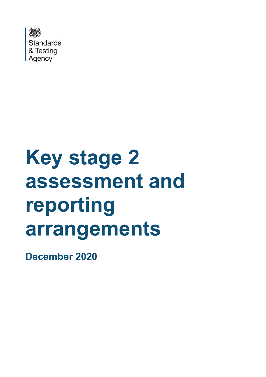

# **Key stage 2 assessment and reporting arrangements**

**December 2020**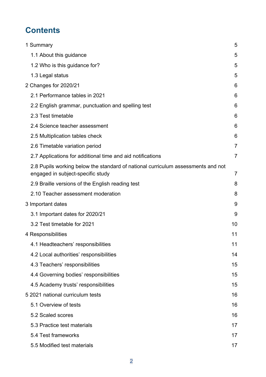# **Contents**

| 1 Summary                                                                                                             | 5              |
|-----------------------------------------------------------------------------------------------------------------------|----------------|
| 1.1 About this guidance                                                                                               | 5              |
| 1.2 Who is this guidance for?                                                                                         | 5              |
| 1.3 Legal status                                                                                                      | 5              |
| 2 Changes for 2020/21                                                                                                 | 6              |
| 2.1 Performance tables in 2021                                                                                        | 6              |
| 2.2 English grammar, punctuation and spelling test                                                                    | 6              |
| 2.3 Test timetable                                                                                                    | 6              |
| 2.4 Science teacher assessment                                                                                        | 6              |
| 2.5 Multiplication tables check                                                                                       | 6              |
| 2.6 Timetable variation period                                                                                        | 7              |
| 2.7 Applications for additional time and aid notifications                                                            | $\overline{7}$ |
| 2.8 Pupils working below the standard of national curriculum assessments and not<br>engaged in subject-specific study | $\overline{7}$ |
| 2.9 Braille versions of the English reading test                                                                      | 8              |
| 2.10 Teacher assessment moderation                                                                                    | 8              |
| 3 Important dates                                                                                                     | 9              |
| 3.1 Important dates for 2020/21                                                                                       | 9              |
| 3.2 Test timetable for 2021                                                                                           | 10             |
| 4 Responsibilities                                                                                                    | 11             |
| 4.1 Headteachers' responsibilities                                                                                    | 11             |
| 4.2 Local authorities' responsibilities                                                                               | 14             |
| 4.3 Teachers' responsibilities                                                                                        | 15             |
| 4.4 Governing bodies' responsibilities                                                                                | 15             |
| 4.5 Academy trusts' responsibilities                                                                                  | 15             |
| 5 2021 national curriculum tests                                                                                      | 16             |
| 5.1 Overview of tests                                                                                                 | 16             |
| 5.2 Scaled scores                                                                                                     | 16             |
| 5.3 Practice test materials                                                                                           | 17             |
| 5.4 Test frameworks                                                                                                   | 17             |
| 5.5 Modified test materials                                                                                           | 17             |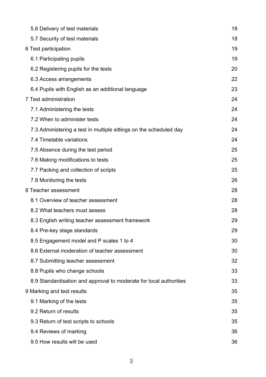| 5.6 Delivery of test materials                                     | 18 |
|--------------------------------------------------------------------|----|
| 5.7 Security of test materials                                     | 18 |
| 6 Test participation                                               | 19 |
| 6.1 Participating pupils                                           | 19 |
| 6.2 Registering pupils for the tests                               | 20 |
| 6.3 Access arrangements                                            | 22 |
| 6.4 Pupils with English as an additional language                  | 23 |
| 7 Test administration                                              | 24 |
| 7.1 Administering the tests                                        | 24 |
| 7.2 When to administer tests                                       | 24 |
| 7.3 Administering a test in multiple sittings on the scheduled day | 24 |
| 7.4 Timetable variations                                           | 24 |
| 7.5 Absence during the test period                                 | 25 |
| 7.6 Making modifications to tests                                  | 25 |
| 7.7 Packing and collection of scripts                              | 25 |
| 7.8 Monitoring the tests                                           | 26 |
| 8 Teacher assessment                                               | 28 |
| 8.1 Overview of teacher assessment                                 | 28 |
| 8.2 What teachers must assess                                      | 28 |
| 8.3 English writing teacher assessment framework                   | 29 |
| 8.4 Pre-key stage standards                                        | 29 |
| 8.5 Engagement model and P scales 1 to 4                           | 30 |
| 8.6 External moderation of teacher assessment                      | 30 |
| 8.7 Submitting teacher assessment                                  | 32 |
| 8.8 Pupils who change schools                                      | 33 |
| 8.9 Standardisation and approval to moderate for local authorities | 33 |
| 9 Marking and test results                                         | 35 |
| 9.1 Marking of the tests                                           | 35 |
| 9.2 Return of results                                              | 35 |
| 9.3 Return of test scripts to schools                              | 35 |
| 9.4 Reviews of marking                                             | 36 |
| 9.5 How results will be used                                       | 36 |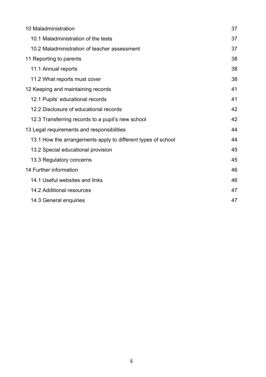| 10 Maladministration                                         | 37 |
|--------------------------------------------------------------|----|
| 10.1 Maladministration of the tests                          | 37 |
| 10.2 Maladministration of teacher assessment                 | 37 |
| 11 Reporting to parents                                      | 38 |
| 11.1 Annual reports                                          | 38 |
| 11.2 What reports must cover                                 | 38 |
| 12 Keeping and maintaining records                           | 41 |
| 12.1 Pupils' educational records                             | 41 |
| 12.2 Disclosure of educational records                       | 42 |
| 12.3 Transferring records to a pupil's new school            | 42 |
| 13 Legal requirements and responsibilities                   | 44 |
| 13.1 How the arrangements apply to different types of school | 44 |
| 13.2 Special educational provision                           | 45 |
| 13.3 Regulatory concerns                                     | 45 |
| 14 Further information                                       | 46 |
| 14.1 Useful websites and links                               | 46 |
| 14.2 Additional resources                                    | 47 |
| 14.3 General enquiries                                       | 47 |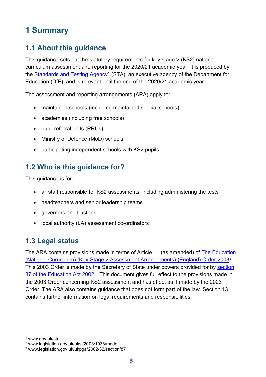# <span id="page-4-0"></span>**1 Summary**

# <span id="page-4-1"></span>**1.1 About this guidance**

This guidance sets out the statutory requirements for key stage 2 (KS2) national curriculum assessment and reporting for the 2020/21 academic year. It is produced by the [Standards and Testing Agency](http://www.gov.uk/sta)<sup>[1](#page-4-4)</sup> (STA), an executive agency of the Department for Education (DfE), and is relevant until the end of the 2020/21 academic year.

The assessment and reporting arrangements (ARA) apply to:

- maintained schools (including maintained special schools)
- academies (including free schools)
- pupil referral units (PRUs)
- Ministry of Defence (MoD) schools
- participating independent schools with KS2 pupils

# <span id="page-4-2"></span>**1.2 Who is this guidance for?**

This guidance is for:

- all staff responsible for KS2 assessments, including administering the tests
- headteachers and senior leadership teams
- governors and trustees
- local authority (LA) assessment co-ordinators

# <span id="page-4-3"></span>**1.3 Legal status**

The ARA contains provisions made in terms of Article 11 (as amended) of [The Education](http://www.legislation.gov.uk/uksi/2003/1038/made)  [\(National Curriculum\) \(Key Stage 2 Assessment Arrangements\) \(England\) Order 2003](http://www.legislation.gov.uk/uksi/2003/1038/made)[2](#page-4-5). This 2003 Order is made by the Secretary of State under powers provided for by section [87 of the Education Act 2002](http://www.legislation.gov.uk/ukpga/2002/32/section/87)<sup>3</sup>. This document gives full effect to the provisions made in the 2003 Order concerning KS2 assessment and has effect as if made by the 2003 Order. The ARA also contains guidance that does not form part of the law. Section 13 contains further information on legal requirements and responsibilities.

<span id="page-4-4"></span><sup>1</sup> www.gov.uk/sta

<span id="page-4-5"></span><sup>2</sup> www.legislation.gov.uk/uksi/2003/1038/made

<span id="page-4-6"></span><sup>3</sup> www.legislation.gov.uk/ukpga/2002/32/section/87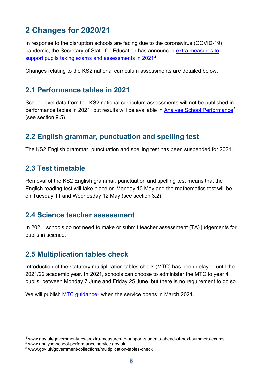# <span id="page-5-0"></span>**2 Changes for 2020/21**

In response to the disruption schools are facing due to the coronavirus (COVID-19) pandemic, the Secretary of State for Education has announced [extra measures to](https://www.gov.uk/government/news/extra-measures-to-support-students-ahead-of-next-summers-exams)  [support pupils taking exams and assessments in 2021](https://www.gov.uk/government/news/extra-measures-to-support-students-ahead-of-next-summers-exams)<sup>4</sup>.

Changes relating to the KS2 national curriculum assessments are detailed below.

#### <span id="page-5-1"></span>**2.1 Performance tables in 2021**

School-level data from the KS2 national curriculum assessments will not be published in performance tables in 2021, but results will be available in [Analyse School Performance](http://www.analyse-school-performance.service.gov.uk/)<sup>[5](#page-5-7)</sup> (see section 9.5).

## <span id="page-5-2"></span>**2.2 English grammar, punctuation and spelling test**

The KS2 English grammar, punctuation and spelling test has been suspended for 2021.

#### <span id="page-5-3"></span>**2.3 Test timetable**

Removal of the KS2 English grammar, punctuation and spelling test means that the English reading test will take place on Monday 10 May and the mathematics test will be on Tuesday 11 and Wednesday 12 May (see section 3.2).

#### <span id="page-5-4"></span>**2.4 Science teacher assessment**

In 2021, schools do not need to make or submit teacher assessment (TA) judgements for pupils in science.

## <span id="page-5-5"></span>**2.5 Multiplication tables check**

Introduction of the statutory multiplication tables check (MTC) has been delayed until the 2021/22 academic year. In 2021, schools can choose to administer the MTC to year 4 pupils, between Monday 7 June and Friday 25 June, but there is no requirement to do so.

We will publish [MTC guidance](https://www.gov.uk/government/collections/multiplication-tables-check)<sup>[6](#page-5-8)</sup> when the service opens in March 2021.

<span id="page-5-6"></span><sup>4</sup> www.gov.uk/government/news/extra-measures-to-support-students-ahead-of-next-summers-exams

<span id="page-5-7"></span><sup>5</sup> www.analyse-school-performance.service.gov.uk

<span id="page-5-8"></span><sup>6</sup> www.gov.uk/government/collections/multiplication-tables-check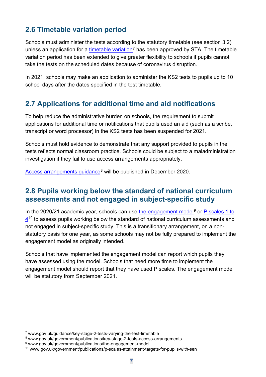# <span id="page-6-0"></span>**2.6 Timetable variation period**

Schools must administer the tests according to the statutory timetable (see section 3.2) unless an application for a [timetable variation](http://www.gov.uk/guidance/key-stage-2-tests-varying-the-test-timetable)<sup>[7](#page-6-3)</sup> has been approved by STA. The timetable variation period has been extended to give greater flexibility to schools if pupils cannot take the tests on the scheduled dates because of coronavirus disruption.

In 2021, schools may make an application to administer the KS2 tests to pupils up to 10 school days after the dates specified in the test timetable.

## <span id="page-6-1"></span>**2.7 Applications for additional time and aid notifications**

To help reduce the administrative burden on schools, the requirement to submit applications for additional time or notifications that pupils used an aid (such as a scribe, transcript or word processor) in the KS2 tests has been suspended for 2021.

Schools must hold evidence to demonstrate that any support provided to pupils in the tests reflects normal classroom practice. Schools could be subject to a maladministration investigation if they fail to use access arrangements appropriately.

[Access arrangements](https://www.gov.uk/government/publications/key-stage-2-tests-access-arrangements) guidance<sup>[8](#page-6-4)</sup> will be published in December 2020.

#### <span id="page-6-2"></span>**2.8 Pupils working below the standard of national curriculum assessments and not engaged in subject-specific study**

In the 2020/21 academic year, schools can use [the engagement model](http://www.gov.uk/government/publications/the-engagement-model)<sup>[9](#page-6-5)</sup> or  $P$  scales 1 to  $4^{10}$  $4^{10}$  $4^{10}$  $4^{10}$  to assess pupils working below the standard of national curriculum assessments and not engaged in subject-specific study. This is a transitionary arrangement, on a nonstatutory basis for one year, as some schools may not be fully prepared to implement the engagement model as originally intended.

Schools that have implemented the engagement model can report which pupils they have assessed using the model. Schools that need more time to implement the engagement model should report that they have used P scales. The engagement model will be statutory from September 2021.

<span id="page-6-3"></span><sup>7</sup> www.gov.uk/guidance/key-stage-2-tests-varying-the-test-timetable

<span id="page-6-4"></span><sup>8</sup> www.gov.uk/government/publications/key-stage-2-tests-access-arrangements

<span id="page-6-5"></span><sup>9</sup> www.gov.uk/government/publications/the-engagement-model

<span id="page-6-6"></span><sup>10</sup> www.gov.uk/government/publications/p-scales-attainment-targets-for-pupils-with-sen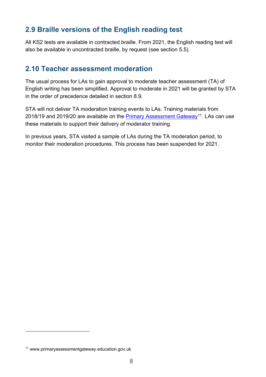# <span id="page-7-0"></span>**2.9 Braille versions of the English reading test**

All KS2 tests are available in contracted braille. From 2021, the English reading test will also be available in uncontracted braille, by request (see section 5.5).

#### <span id="page-7-1"></span>**2.10 Teacher assessment moderation**

The usual process for LAs to gain approval to moderate teacher assessment (TA) of English writing has been simplified. Approval to moderate in 2021 will be granted by STA in the order of precedence detailed in section 8.9.

STA will not deliver TA moderation training events to LAs. Training materials from 2018/19 and 2019/20 are available on the [Primary Assessment Gateway](https://www.primaryassessmentgateway.education.gov.uk/)<sup>11</sup>. LAs can use these materials to support their delivery of moderator training.

In previous years, STA visited a sample of LAs during the TA moderation period, to monitor their moderation procedures. This process has been suspended for 2021.

<span id="page-7-2"></span><sup>11</sup> www.primaryassessmentgateway.education.gov.uk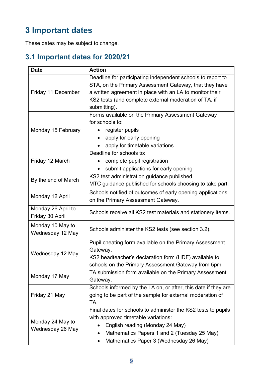# <span id="page-8-0"></span>**3 Important dates**

These dates may be subject to change.

# <span id="page-8-1"></span>**3.1 Important dates for 2020/21**

| <b>Date</b>                           | <b>Action</b>                                                                                                                                                                                                                                              |  |  |  |  |
|---------------------------------------|------------------------------------------------------------------------------------------------------------------------------------------------------------------------------------------------------------------------------------------------------------|--|--|--|--|
| Friday 11 December                    | Deadline for participating independent schools to report to<br>STA, on the Primary Assessment Gateway, that they have<br>a written agreement in place with an LA to monitor their<br>KS2 tests (and complete external moderation of TA, if<br>submitting). |  |  |  |  |
| Monday 15 February                    | Forms available on the Primary Assessment Gateway<br>for schools to:<br>register pupils<br>٠<br>apply for early opening<br>$\bullet$<br>apply for timetable variations                                                                                     |  |  |  |  |
| Friday 12 March                       | Deadline for schools to:<br>complete pupil registration<br>submit applications for early opening                                                                                                                                                           |  |  |  |  |
| By the end of March                   | KS2 test administration guidance published.<br>MTC guidance published for schools choosing to take part.                                                                                                                                                   |  |  |  |  |
| Monday 12 April                       | Schools notified of outcomes of early opening applications<br>on the Primary Assessment Gateway.                                                                                                                                                           |  |  |  |  |
| Monday 26 April to<br>Friday 30 April | Schools receive all KS2 test materials and stationery items.                                                                                                                                                                                               |  |  |  |  |
| Monday 10 May to<br>Wednesday 12 May  | Schools administer the KS2 tests (see section 3.2).                                                                                                                                                                                                        |  |  |  |  |
| Wednesday 12 May                      | Pupil cheating form available on the Primary Assessment<br>Gateway.<br>KS2 headteacher's declaration form (HDF) available to<br>schools on the Primary Assessment Gateway from 5pm.                                                                        |  |  |  |  |
| Monday 17 May                         | TA submission form available on the Primary Assessment<br>Gateway.                                                                                                                                                                                         |  |  |  |  |
| Friday 21 May                         | Schools informed by the LA on, or after, this date if they are<br>going to be part of the sample for external moderation of<br>TA.                                                                                                                         |  |  |  |  |
| Monday 24 May to<br>Wednesday 26 May  | Final dates for schools to administer the KS2 tests to pupils<br>with approved timetable variations:<br>English reading (Monday 24 May)<br>Mathematics Papers 1 and 2 (Tuesday 25 May)<br>$\bullet$<br>Mathematics Paper 3 (Wednesday 26 May)              |  |  |  |  |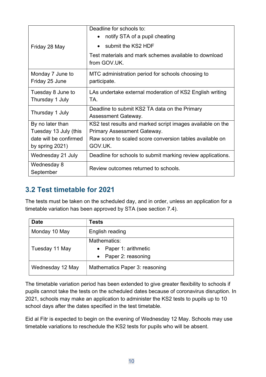| Friday 28 May                                                                             | Deadline for schools to:<br>notify STA of a pupil cheating<br>submit the KS2 HDF<br>Test materials and mark schemes available to download<br>from GOV.UK.               |  |  |  |
|-------------------------------------------------------------------------------------------|-------------------------------------------------------------------------------------------------------------------------------------------------------------------------|--|--|--|
| Monday 7 June to<br>Friday 25 June                                                        | MTC administration period for schools choosing to<br>participate.                                                                                                       |  |  |  |
| Tuesday 8 June to<br>Thursday 1 July                                                      | LAs undertake external moderation of KS2 English writing<br>TA.                                                                                                         |  |  |  |
| Thursday 1 July                                                                           | Deadline to submit KS2 TA data on the Primary<br>Assessment Gateway.                                                                                                    |  |  |  |
| By no later than<br>Tuesday 13 July (this<br>date will be confirmed<br>by spring $2021$ ) | KS2 test results and marked script images available on the<br><b>Primary Assessment Gateway.</b><br>Raw score to scaled score conversion tables available on<br>GOV.UK. |  |  |  |
| Wednesday 21 July                                                                         | Deadline for schools to submit marking review applications.                                                                                                             |  |  |  |
| Wednesday 8<br>September                                                                  | Review outcomes returned to schools.                                                                                                                                    |  |  |  |

# <span id="page-9-0"></span>**3.2 Test timetable for 2021**

The tests must be taken on the scheduled day, and in order, unless an application for a timetable variation has been approved by STA (see section 7.4).

| <b>Date</b>      | <b>Tests</b>                                                  |  |  |
|------------------|---------------------------------------------------------------|--|--|
| Monday 10 May    | English reading                                               |  |  |
| Tuesday 11 May   | Mathematics:<br>• Paper 1: arithmetic<br>• Paper 2: reasoning |  |  |
| Wednesday 12 May | Mathematics Paper 3: reasoning                                |  |  |

The timetable variation period has been extended to give greater flexibility to schools if pupils cannot take the tests on the scheduled dates because of coronavirus disruption. In 2021, schools may make an application to administer the KS2 tests to pupils up to 10 school days after the dates specified in the test timetable.

Eid al Fitr is expected to begin on the evening of Wednesday 12 May. Schools may use timetable variations to reschedule the KS2 tests for pupils who will be absent.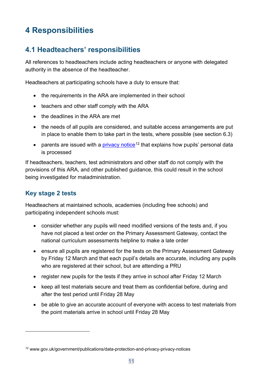# <span id="page-10-0"></span>**4 Responsibilities**

# <span id="page-10-1"></span>**4.1 Headteachers' responsibilities**

All references to headteachers include acting headteachers or anyone with delegated authority in the absence of the headteacher.

Headteachers at participating schools have a duty to ensure that:

- the requirements in the ARA are implemented in their school
- teachers and other staff comply with the ARA
- the deadlines in the ARA are met
- the needs of all pupils are considered, and suitable access arrangements are put in place to enable them to take part in the tests, where possible (see section 6.3)
- parents are issued with a [privacy notice](https://www.gov.uk/government/publications/data-protection-and-privacy-privacy-notices)<sup>[12](#page-10-2)</sup> that explains how pupils' personal data is processed

If headteachers, teachers, test administrators and other staff do not comply with the provisions of this ARA, and other published guidance, this could result in the school being investigated for maladministration.

#### **Key stage 2 tests**

Headteachers at maintained schools, academies (including free schools) and participating independent schools must:

- consider whether any pupils will need modified versions of the tests and, if you have not placed a test order on the Primary Assessment Gateway, contact the national curriculum assessments helpline to make a late order
- ensure all pupils are registered for the tests on the Primary Assessment Gateway by Friday 12 March and that each pupil's details are accurate, including any pupils who are registered at their school, but are attending a PRU
- register new pupils for the tests if they arrive in school after Friday 12 March
- keep all test materials secure and treat them as confidential before, during and after the test period until Friday 28 May
- be able to give an accurate account of everyone with access to test materials from the point materials arrive in school until Friday 28 May

<span id="page-10-2"></span><sup>12</sup> www.gov.uk/government/publications/data-protection-and-privacy-privacy-notices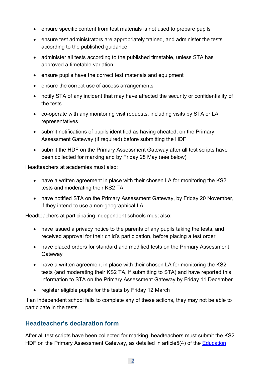- ensure specific content from test materials is not used to prepare pupils
- ensure test administrators are appropriately trained, and administer the tests according to the published guidance
- administer all tests according to the published timetable, unless STA has approved a timetable variation
- ensure pupils have the correct test materials and equipment
- ensure the correct use of access arrangements
- notify STA of any incident that may have affected the security or confidentiality of the tests
- co-operate with any monitoring visit requests, including visits by STA or LA representatives
- submit notifications of pupils identified as having cheated, on the Primary Assessment Gateway (if required) before submitting the HDF
- submit the HDF on the Primary Assessment Gateway after all test scripts have been collected for marking and by Friday 28 May (see below)

Headteachers at academies must also:

- have a written agreement in place with their chosen LA for monitoring the KS2 tests and moderating their KS2 TA
- have notified STA on the Primary Assessment Gateway, by Friday 20 November, if they intend to use a non-geographical LA

Headteachers at participating independent schools must also:

- have issued a privacy notice to the parents of any pupils taking the tests, and received approval for their child's participation, before placing a test order
- have placed orders for standard and modified tests on the Primary Assessment **Gateway**
- have a written agreement in place with their chosen LA for monitoring the KS2 tests (and moderating their KS2 TA, if submitting to STA) and have reported this information to STA on the Primary Assessment Gateway by Friday 11 December
- register eligible pupils for the tests by Friday 12 March

If an independent school fails to complete any of these actions, they may not be able to participate in the tests.

#### **Headteacher's declaration form**

After all test scripts have been collected for marking, headteachers must submit the KS2 HDF on the Primary Assessment Gateway, as detailed in article5(4) of the Education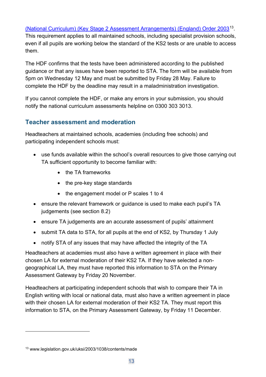[\(National Curriculum\) \(Key Stage 2 Assessment Arrangements\) \(England\) Order 2003](http://www.legislation.gov.uk/uksi/2003/1038/contents/made)[13.](#page-12-0) This requirement applies to all maintained schools, including specialist provision schools, even if all pupils are working below the standard of the KS2 tests or are unable to access them.

The HDF confirms that the tests have been administered according to the published guidance or that any issues have been reported to STA. The form will be available from 5pm on Wednesday 12 May and must be submitted by Friday 28 May. Failure to complete the HDF by the deadline may result in a maladministration investigation.

If you cannot complete the HDF, or make any errors in your submission, you should notify the national curriculum assessments helpline on 0300 303 3013.

#### **Teacher assessment and moderation**

Headteachers at maintained schools, academies (including free schools) and participating independent schools must:

- use funds available within the school's overall resources to give those carrying out TA sufficient opportunity to become familiar with:
	- the TA frameworks
	- the pre-key stage standards
	- the engagement model or P scales 1 to 4
- ensure the relevant framework or quidance is used to make each pupil's TA judgements (see section 8.2)
- ensure TA judgements are an accurate assessment of pupils' attainment
- submit TA data to STA, for all pupils at the end of KS2, by Thursday 1 July
- notify STA of any issues that may have affected the integrity of the TA

Headteachers at academies must also have a written agreement in place with their chosen LA for external moderation of their KS2 TA. If they have selected a nongeographical LA, they must have reported this information to STA on the Primary Assessment Gateway by Friday 20 November.

Headteachers at participating independent schools that wish to compare their TA in English writing with local or national data, must also have a written agreement in place with their chosen LA for external moderation of their KS2 TA. They must report this information to STA, on the Primary Assessment Gateway, by Friday 11 December.

<span id="page-12-0"></span><sup>13</sup> www.legislation.gov.uk/uksi/2003/1038/contents/made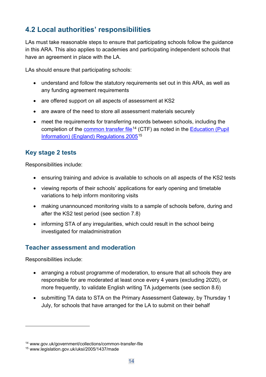# <span id="page-13-0"></span>**4.2 Local authorities' responsibilities**

LAs must take reasonable steps to ensure that participating schools follow the guidance in this ARA. This also applies to academies and participating independent schools that have an agreement in place with the LA.

LAs should ensure that participating schools:

- understand and follow the statutory requirements set out in this ARA, as well as any funding agreement requirements
- are offered support on all aspects of assessment at KS2
- are aware of the need to store all assessment materials securely
- meet the requirements for transferring records between schools, including the completion of the [common transfer file](http://www.gov.uk/government/collections/common-transfer-file)<sup>14</sup> (CTF) as noted in the Education (Pupil [Information\) \(England\) Regulations 2005](http://www.legislation.gov.uk/uksi/2005/1437/made)[15](#page-13-2)

#### **Key stage 2 tests**

Responsibilities include:

- ensuring training and advice is available to schools on all aspects of the KS2 tests
- viewing reports of their schools' applications for early opening and timetable variations to help inform monitoring visits
- making unannounced monitoring visits to a sample of schools before, during and after the KS2 test period (see section 7.8)
- informing STA of any irregularities, which could result in the school being investigated for maladministration

#### **Teacher assessment and moderation**

Responsibilities include:

- arranging a robust programme of moderation, to ensure that all schools they are responsible for are moderated at least once every 4 years (excluding 2020), or more frequently, to validate English writing TA judgements (see section 8.6)
- submitting TA data to STA on the Primary Assessment Gateway, by Thursday 1 July, for schools that have arranged for the LA to submit on their behalf

<span id="page-13-1"></span><sup>14</sup> www.gov.uk/government/collections/common-transfer-file

<span id="page-13-2"></span><sup>15</sup> www.legislation.gov.uk/uksi/2005/1437/made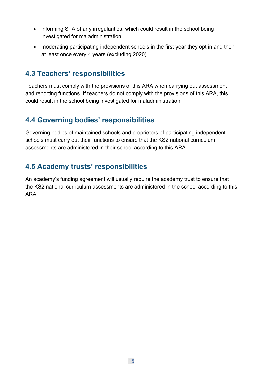- informing STA of any irregularities, which could result in the school being investigated for maladministration
- moderating participating independent schools in the first year they opt in and then at least once every 4 years (excluding 2020)

## <span id="page-14-0"></span>**4.3 Teachers' responsibilities**

Teachers must comply with the provisions of this ARA when carrying out assessment and reporting functions. If teachers do not comply with the provisions of this ARA, this could result in the school being investigated for maladministration.

# <span id="page-14-1"></span>**4.4 Governing bodies' responsibilities**

Governing bodies of maintained schools and proprietors of participating independent schools must carry out their functions to ensure that the KS2 national curriculum assessments are administered in their school according to this ARA.

# <span id="page-14-2"></span>**4.5 Academy trusts' responsibilities**

An academy's funding agreement will usually require the academy trust to ensure that the KS2 national curriculum assessments are administered in the school according to this ARA.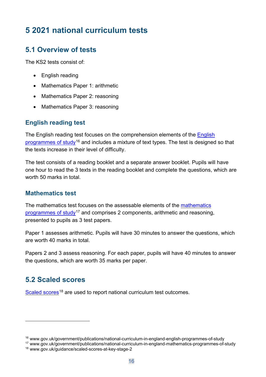# <span id="page-15-0"></span>**5 2021 national curriculum tests**

## <span id="page-15-1"></span>**5.1 Overview of tests**

The KS2 tests consist of:

- English reading
- Mathematics Paper 1: arithmetic
- Mathematics Paper 2: reasoning
- Mathematics Paper 3: reasoning

#### **English reading test**

The [English](http://www.gov.uk/government/publications/national-curriculum-in-england-english-programmes-of-study) reading test focuses on the comprehension elements of the English [programmes of study](http://www.gov.uk/government/publications/national-curriculum-in-england-english-programmes-of-study)[16](#page-15-3) and includes a mixture of text types. The test is designed so that the texts increase in their level of difficulty.

The test consists of a reading booklet and a separate answer booklet. Pupils will have one hour to read the 3 texts in the reading booklet and complete the questions, which are worth 50 marks in total.

#### **Mathematics test**

The [mathematics](https://www.gov.uk/government/publications/national-curriculum-in-england-mathematics-programmes-of-study) test focuses on the assessable elements of the mathematics [programmes of study](https://www.gov.uk/government/publications/national-curriculum-in-england-mathematics-programmes-of-study)<sup>[17](#page-15-4)</sup> and comprises 2 components, arithmetic and reasoning, presented to pupils as 3 test papers.

Paper 1 assesses arithmetic. Pupils will have 30 minutes to answer the questions, which are worth 40 marks in total.

Papers 2 and 3 assess reasoning. For each paper, pupils will have 40 minutes to answer the questions, which are worth 35 marks per paper.

## <span id="page-15-2"></span>**5.2 Scaled scores**

[Scaled scores](https://www.gov.uk/guidance/scaled-scores-at-key-stage-2)<sup>[18](#page-15-5)</sup> are used to report national curriculum test outcomes.

<span id="page-15-3"></span><sup>16</sup> www.gov.uk/government/publications/national-curriculum-in-england-english-programmes-of-study

<span id="page-15-5"></span><span id="page-15-4"></span><sup>17</sup> www.gov.uk/government/publications/national-curriculum-in-england-mathematics-programmes-of-study <sup>18</sup> www.gov.uk/guidance/scaled-scores-at-key-stage-2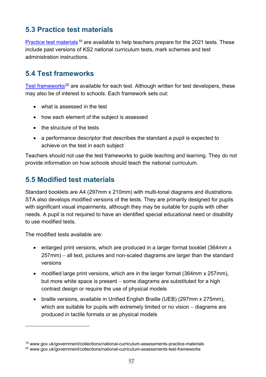# <span id="page-16-0"></span>**5.3 Practice test materials**

[Practice test materials](http://www.gov.uk/government/collections/national-curriculum-assessments-practice-materials)<sup>[19](#page-16-3)</sup> are available to help teachers prepare for the 2021 tests. These include past versions of KS2 national curriculum tests, mark schemes and test administration instructions.

## <span id="page-16-1"></span>**5.4 Test frameworks**

[Test frameworks](https://www.gov.uk/government/collections/national-curriculum-assessments-test-frameworks)<sup>[20](#page-16-4)</sup> are available for each test. Although written for test developers, these may also be of interest to schools. Each framework sets out:

- what is assessed in the test
- how each element of the subject is assessed
- the structure of the tests
- a performance descriptor that describes the standard a pupil is expected to achieve on the test in each subject

Teachers should not use the test frameworks to guide teaching and learning. They do not provide information on how schools should teach the national curriculum.

# <span id="page-16-2"></span>**5.5 Modified test materials**

Standard booklets are A4 (297mm x 210mm) with multi-tonal diagrams and illustrations. STA also develops modified versions of the tests. They are primarily designed for pupils with significant visual impairments, although they may be suitable for pupils with other needs. A pupil is not required to have an identified special educational need or disability to use modified tests.

The modified tests available are:

- enlarged print versions, which are produced in a larger format booklet (364mm x) 257mm) – all text, pictures and non-scaled diagrams are larger than the standard versions
- modified large print versions, which are in the larger format (364mm x 257mm), but more white space is present – some diagrams are substituted for a high contrast design or require the use of physical models
- braille versions, available in Unified English Braille (UEB) (297mm x 275mm), which are suitable for pupils with extremely limited or no vision – diagrams are produced in tactile formats or as physical models

<span id="page-16-3"></span><sup>19</sup> www.gov.uk/government/collections/national-curriculum-assessments-practice-materials

<span id="page-16-4"></span><sup>20</sup> www.gov.uk/government/collections/national-curriculum-assessments-test-frameworks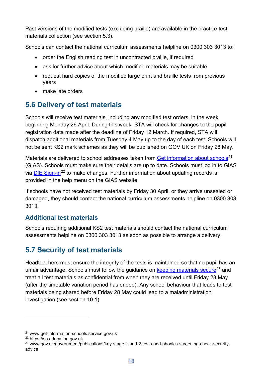Past versions of the modified tests (excluding braille) are available in the practice test materials collection (see section 5.3).

Schools can contact the national curriculum assessments helpline on 0300 303 3013 to:

- order the English reading test in uncontracted braille, if required
- ask for further advice about which modified materials may be suitable
- request hard copies of the modified large print and braille tests from previous years
- make late orders

# <span id="page-17-0"></span>**5.6 Delivery of test materials**

Schools will receive test materials, including any modified test orders, in the week beginning Monday 26 April. During this week, STA will check for changes to the pupil registration data made after the deadline of Friday 12 March. If required, STA will dispatch additional materials from Tuesday 4 May up to the day of each test. Schools will not be sent KS2 mark schemes as they will be published on GOV.UK on Friday 28 May.

Materials are delivered to school addresses taken from [Get information about schools](http://www.get-information-schools.service.gov.uk/)<sup>[21](#page-17-2)</sup> (GIAS). Schools must make sure their details are up to date. Schools must log in to GIAS via [DfE Sign-in](https://sa.education.gov.uk/)<sup>[22](#page-17-3)</sup> to make changes. Further information about updating records is provided in the help menu on the GIAS website.

If schools have not received test materials by Friday 30 April, or they arrive unsealed or damaged, they should contact the national curriculum assessments helpline on 0300 303 3013.

#### **Additional test materials**

Schools requiring additional KS2 test materials should contact the national curriculum assessments helpline on 0300 303 3013 as soon as possible to arrange a delivery.

# <span id="page-17-1"></span>**5.7 Security of test materials**

Headteachers must ensure the integrity of the tests is maintained so that no pupil has an unfair advantage. Schools must follow the guidance on [keeping materials secure](https://www.gov.uk/government/publications/key-stage-1-and-2-tests-and-phonics-screening-check-security-advice)<sup>[23](#page-17-4)</sup> and treat all test materials as confidential from when they are received until Friday 28 May (after the timetable variation period has ended). Any school behaviour that leads to test materials being shared before Friday 28 May could lead to a maladministration investigation (see section 10.1).

<span id="page-17-2"></span><sup>21</sup> www.get-information-schools.service.gov.uk

<span id="page-17-3"></span><sup>22</sup> https://sa.education.gov.uk

<span id="page-17-4"></span><sup>&</sup>lt;sup>23</sup> www.gov.uk/government/publications/key-stage-1-and-2-tests-and-phonics-screening-check-securityadvice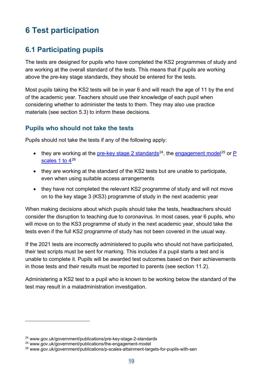# <span id="page-18-0"></span>**6 Test participation**

# <span id="page-18-1"></span>**6.1 Participating pupils**

The tests are designed for pupils who have completed the KS2 programmes of study and are working at the overall standard of the tests. This means that if pupils are working above the pre-key stage standards, they should be entered for the tests.

Most pupils taking the KS2 tests will be in year 6 and will reach the age of 11 by the end of the academic year. Teachers should use their knowledge of each pupil when considering whether to administer the tests to them. They may also use practice materials (see section 5.3) to inform these decisions.

#### **Pupils who should not take the tests**

Pupils should not take the tests if any of the following apply:

- they are working at the [pre-key stage 2 standards](http://www.gov.uk/government/publications/pre-key-stage-2-standards)<sup>24</sup>, the [engagement model](https://www.gov.uk/government/publications/the-engagement-model)<sup>[25](#page-18-3)</sup> or P scales 1 to  $4^{26}$  $4^{26}$  $4^{26}$
- they are working at the standard of the KS2 tests but are unable to participate, even when using suitable access arrangements
- they have not completed the relevant KS2 programme of study and will not move on to the key stage 3 (KS3) programme of study in the next academic year

When making decisions about which pupils should take the tests, headteachers should consider the disruption to teaching due to coronavirus. In most cases, year 6 pupils, who will move on to the KS3 programme of study in the next academic year, should take the tests even if the full KS2 programme of study has not been covered in the usual way.

If the 2021 tests are incorrectly administered to pupils who should not have participated, their test scripts must be sent for marking. This includes if a pupil starts a test and is unable to complete it. Pupils will be awarded test outcomes based on their achievements in those tests and their results must be reported to parents (see section 11.2).

Administering a KS2 test to a pupil who is known to be working below the standard of the test may result in a maladministration investigation.

<span id="page-18-2"></span><sup>24</sup> www.gov.uk/government/publications/pre-key-stage-2-standards

<span id="page-18-3"></span><sup>25</sup> www.gov.uk/government/publications/the-engagement-model

<span id="page-18-4"></span><sup>26</sup> www.gov.uk/government/publications/p-scales-attainment-targets-for-pupils-with-sen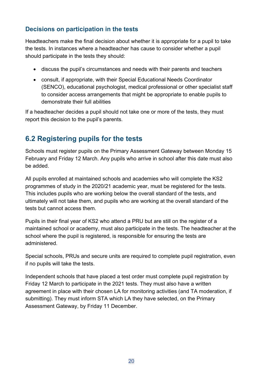#### **Decisions on participation in the tests**

Headteachers make the final decision about whether it is appropriate for a pupil to take the tests. In instances where a headteacher has cause to consider whether a pupil should participate in the tests they should:

- discuss the pupil's circumstances and needs with their parents and teachers
- consult, if appropriate, with their Special Educational Needs Coordinator (SENCO), educational psychologist, medical professional or other specialist staff to consider access arrangements that might be appropriate to enable pupils to demonstrate their full abilities

If a headteacher decides a pupil should not take one or more of the tests, they must report this decision to the pupil's parents.

# <span id="page-19-0"></span>**6.2 Registering pupils for the tests**

Schools must register pupils on the Primary Assessment Gateway between Monday 15 February and Friday 12 March. Any pupils who arrive in school after this date must also be added.

All pupils enrolled at maintained schools and academies who will complete the KS2 programmes of study in the 2020/21 academic year, must be registered for the tests. This includes pupils who are working below the overall standard of the tests, and ultimately will not take them, and pupils who are working at the overall standard of the tests but cannot access them.

Pupils in their final year of KS2 who attend a PRU but are still on the register of a maintained school or academy, must also participate in the tests. The headteacher at the school where the pupil is registered, is responsible for ensuring the tests are administered.

Special schools, PRUs and secure units are required to complete pupil registration, even if no pupils will take the tests.

Independent schools that have placed a test order must complete pupil registration by Friday 12 March to participate in the 2021 tests. They must also have a written agreement in place with their chosen LA for monitoring activities (and TA moderation, if submitting). They must inform STA which LA they have selected, on the Primary Assessment Gateway, by Friday 11 December.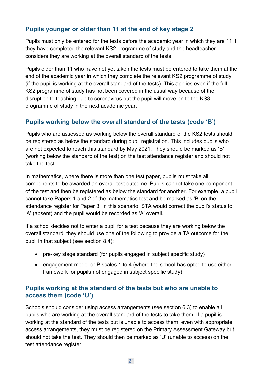#### **Pupils younger or older than 11 at the end of key stage 2**

Pupils must only be entered for the tests before the academic year in which they are 11 if they have completed the relevant KS2 programme of study and the headteacher considers they are working at the overall standard of the tests.

Pupils older than 11 who have not yet taken the tests must be entered to take them at the end of the academic year in which they complete the relevant KS2 programme of study (if the pupil is working at the overall standard of the tests). This applies even if the full KS2 programme of study has not been covered in the usual way because of the disruption to teaching due to coronavirus but the pupil will move on to the KS3 programme of study in the next academic year.

#### **Pupils working below the overall standard of the tests (code 'B')**

Pupils who are assessed as working below the overall standard of the KS2 tests should be registered as below the standard during pupil registration. This includes pupils who are not expected to reach this standard by May 2021. They should be marked as 'B' (working below the standard of the test) on the test attendance register and should not take the test.

In mathematics, where there is more than one test paper, pupils must take all components to be awarded an overall test outcome. Pupils cannot take one component of the test and then be registered as below the standard for another. For example, a pupil cannot take Papers 1 and 2 of the mathematics test and be marked as 'B' on the attendance register for Paper 3. In this scenario, STA would correct the pupil's status to 'A' (absent) and the pupil would be recorded as 'A' overall.

If a school decides not to enter a pupil for a test because they are working below the overall standard, they should use one of the following to provide a TA outcome for the pupil in that subject (see section 8.4):

- pre-key stage standard (for pupils engaged in subject specific study)
- engagement model or P scales 1 to 4 (where the school has opted to use either framework for pupils not engaged in subject specific study)

#### **Pupils working at the standard of the tests but who are unable to access them (code 'U')**

Schools should consider using access arrangements (see section 6.3) to enable all pupils who are working at the overall standard of the tests to take them. If a pupil is working at the standard of the tests but is unable to access them, even with appropriate access arrangements, they must be registered on the Primary Assessment Gateway but should not take the test. They should then be marked as 'U' (unable to access) on the test attendance register.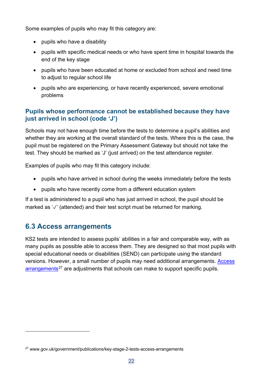Some examples of pupils who may fit this category are:

- pupils who have a disability
- pupils with specific medical needs or who have spent time in hospital towards the end of the key stage
- pupils who have been educated at home or excluded from school and need time to adjust to regular school life
- pupils who are experiencing, or have recently experienced, severe emotional problems

#### **Pupils whose performance cannot be established because they have just arrived in school (code 'J')**

Schools may not have enough time before the tests to determine a pupil's abilities and whether they are working at the overall standard of the tests. Where this is the case, the pupil must be registered on the Primary Assessment Gateway but should not take the test. They should be marked as 'J' (just arrived) on the test attendance register.

Examples of pupils who may fit this category include:

- pupils who have arrived in school during the weeks immediately before the tests
- pupils who have recently come from a different education system

If a test is administered to a pupil who has just arrived in school, the pupil should be marked as '√' (attended) and their test script must be returned for marking.

## <span id="page-21-0"></span>**6.3 Access arrangements**

KS2 tests are intended to assess pupils' abilities in a fair and comparable way, with as many pupils as possible able to access them. They are designed so that most pupils with special educational needs or disabilities (SEND) can participate using the standard versions. However, a small number of pupils may need additional arrangements. [Access](https://www.gov.uk/government/publications/key-stage-2-tests-access-arrangements)   $arrangements<sup>27</sup>$  $arrangements<sup>27</sup>$  $arrangements<sup>27</sup>$  $arrangements<sup>27</sup>$  are adjustments that schools can make to support specific pupils.

<span id="page-21-1"></span><sup>27</sup> www.gov.uk/government/publications/key-stage-2-tests-access-arrangements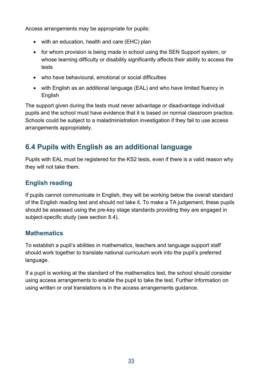Access arrangements may be appropriate for pupils:

- with an education, health and care (EHC) plan
- for whom provision is being made in school using the SEN Support system, or whose learning difficulty or disability significantly affects their ability to access the tests
- who have behavioural, emotional or social difficulties
- with English as an additional language (EAL) and who have limited fluency in English

The support given during the tests must never advantage or disadvantage individual pupils and the school must have evidence that it is based on normal classroom practice. Schools could be subject to a maladministration investigation if they fail to use access arrangements appropriately.

# <span id="page-22-0"></span>**6.4 Pupils with English as an additional language**

Pupils with EAL must be registered for the KS2 tests, even if there is a valid reason why they will not take them.

#### **English reading**

If pupils cannot communicate in English, they will be working below the overall standard of the English reading test and should not take it. To make a TA judgement, these pupils should be assessed using the pre-key stage standards providing they are engaged in subject-specific study (see section 8.4).

#### **Mathematics**

To establish a pupil's abilities in mathematics, teachers and language support staff should work together to translate national curriculum work into the pupil's preferred language.

If a pupil is working at the standard of the mathematics test, the school should consider using access arrangements to enable the pupil to take the test. Further information on using written or oral translations is in the access arrangements guidance.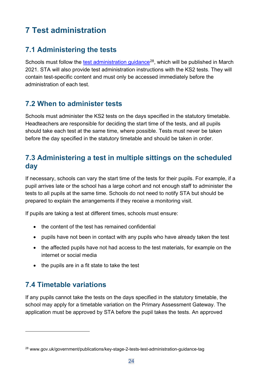# <span id="page-23-0"></span>**7 Test administration**

# <span id="page-23-1"></span>**7.1 Administering the tests**

Schools must follow the test administration quidance<sup>28</sup>, which will be published in March 2021. STA will also provide test administration instructions with the KS2 tests. They will contain test-specific content and must only be accessed immediately before the administration of each test.

# <span id="page-23-2"></span>**7.2 When to administer tests**

Schools must administer the KS2 tests on the days specified in the statutory timetable. Headteachers are responsible for deciding the start time of the tests, and all pupils should take each test at the same time, where possible. Tests must never be taken before the day specified in the statutory timetable and should be taken in order.

## <span id="page-23-3"></span>**7.3 Administering a test in multiple sittings on the scheduled day**

If necessary, schools can vary the start time of the tests for their pupils. For example, if a pupil arrives late or the school has a large cohort and not enough staff to administer the tests to all pupils at the same time. Schools do not need to notify STA but should be prepared to explain the arrangements if they receive a monitoring visit.

If pupils are taking a test at different times, schools must ensure:

- the content of the test has remained confidential
- pupils have not been in contact with any pupils who have already taken the test
- the affected pupils have not had access to the test materials, for example on the internet or social media
- the pupils are in a fit state to take the test

# <span id="page-23-4"></span>**7.4 Timetable variations**

If any pupils cannot take the tests on the days specified in the statutory timetable, the school may apply for a timetable variation on the Primary Assessment Gateway. The application must be approved by STA before the pupil takes the tests. An approved

<span id="page-23-5"></span><sup>&</sup>lt;sup>28</sup> www.gov.uk/government/publications/key-stage-2-tests-test-administration-guidance-tag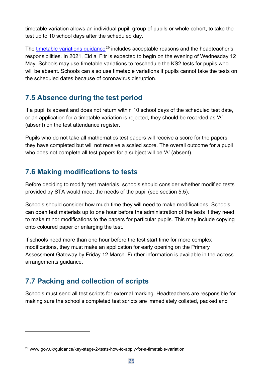timetable variation allows an individual pupil, group of pupils or whole cohort, to take the test up to 10 school days after the scheduled day.

The [timetable variations](https://www.gov.uk/guidance/key-stage-2-tests-how-to-apply-for-a-timetable-variation) quidance<sup>[29](#page-24-3)</sup> includes acceptable reasons and the headteacher's responsibilities. In 2021, Eid al Fitr is expected to begin on the evening of Wednesday 12 May. Schools may use timetable variations to reschedule the KS2 tests for pupils who will be absent. Schools can also use timetable variations if pupils cannot take the tests on the scheduled dates because of coronavirus disruption.

# <span id="page-24-0"></span>**7.5 Absence during the test period**

If a pupil is absent and does not return within 10 school days of the scheduled test date, or an application for a timetable variation is rejected, they should be recorded as 'A' (absent) on the test attendance register.

Pupils who do not take all mathematics test papers will receive a score for the papers they have completed but will not receive a scaled score. The overall outcome for a pupil who does not complete all test papers for a subject will be 'A' (absent).

## <span id="page-24-1"></span>**7.6 Making modifications to tests**

Before deciding to modify test materials, schools should consider whether modified tests provided by STA would meet the needs of the pupil (see section 5.5).

Schools should consider how much time they will need to make modifications. Schools can open test materials up to one hour before the administration of the tests if they need to make minor modifications to the papers for particular pupils. This may include copying onto coloured paper or enlarging the test.

If schools need more than one hour before the test start time for more complex modifications, they must make an application for early opening on the Primary Assessment Gateway by Friday 12 March. Further information is available in the access arrangements guidance.

# <span id="page-24-2"></span>**7.7 Packing and collection of scripts**

Schools must send all test scripts for external marking. Headteachers are responsible for making sure the school's completed test scripts are immediately collated, packed and

<span id="page-24-3"></span><sup>29</sup> www.gov.uk/guidance/key-stage-2-tests-how-to-apply-for-a-timetable-variation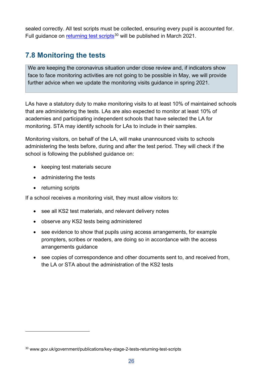sealed correctly. All test scripts must be collected, ensuring every pupil is accounted for. Full guidance on [returning test scripts](http://www.gov.uk/government/publications/key-stage-2-tests-returning-test-scripts)<sup>[30](#page-25-1)</sup> will be published in March 2021.

# <span id="page-25-0"></span>**7.8 Monitoring the tests**

We are keeping the coronavirus situation under close review and, if indicators show face to face monitoring activities are not going to be possible in May, we will provide further advice when we update the monitoring visits guidance in spring 2021.

LAs have a statutory duty to make monitoring visits to at least 10% of maintained schools that are administering the tests. LAs are also expected to monitor at least 10% of academies and participating independent schools that have selected the LA for monitoring. STA may identify schools for LAs to include in their samples.

Monitoring visitors, on behalf of the LA, will make unannounced visits to schools administering the tests before, during and after the test period. They will check if the school is following the published guidance on:

- keeping test materials secure
- administering the tests
- returning scripts

If a school receives a monitoring visit, they must allow visitors to:

- see all KS2 test materials, and relevant delivery notes
- observe any KS2 tests being administered
- see evidence to show that pupils using access arrangements, for example prompters, scribes or readers, are doing so in accordance with the access arrangements guidance
- see copies of correspondence and other documents sent to, and received from, the LA or STA about the administration of the KS2 tests

<span id="page-25-1"></span><sup>30</sup> www.gov.uk/government/publications/key-stage-2-tests-returning-test-scripts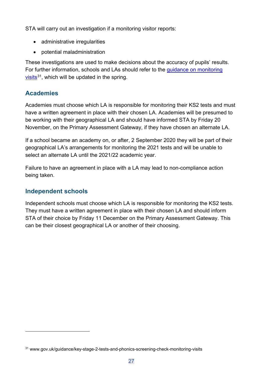STA will carry out an investigation if a monitoring visitor reports:

- administrative irregularities
- potential maladministration

These investigations are used to make decisions about the accuracy of pupils' results. For further information, schools and LAs should refer to the [guidance on monitoring](https://www.gov.uk/guidance/key-stage-2-tests-and-phonics-screening-check-monitoring-visits)  [visits](https://www.gov.uk/guidance/key-stage-2-tests-and-phonics-screening-check-monitoring-visits) $31$ , which will be updated in the spring.

#### **Academies**

Academies must choose which LA is responsible for monitoring their KS2 tests and must have a written agreement in place with their chosen LA. Academies will be presumed to be working with their geographical LA and should have informed STA by Friday 20 November, on the Primary Assessment Gateway, if they have chosen an alternate LA.

If a school became an academy on, or after, 2 September 2020 they will be part of their geographical LA's arrangements for monitoring the 2021 tests and will be unable to select an alternate LA until the 2021/22 academic year.

Failure to have an agreement in place with a LA may lead to non-compliance action being taken.

#### **Independent schools**

Independent schools must choose which LA is responsible for monitoring the KS2 tests. They must have a written agreement in place with their chosen LA and should inform STA of their choice by Friday 11 December on the Primary Assessment Gateway. This can be their closest geographical LA or another of their choosing.

<span id="page-26-0"></span><sup>&</sup>lt;sup>31</sup> www.gov.uk/guidance/key-stage-2-tests-and-phonics-screening-check-monitoring-visits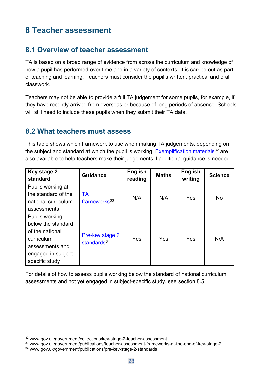# <span id="page-27-0"></span>**8 Teacher assessment**

## <span id="page-27-1"></span>**8.1 Overview of teacher assessment**

TA is based on a broad range of evidence from across the curriculum and knowledge of how a pupil has performed over time and in a variety of contexts. It is carried out as part of teaching and learning. Teachers must consider the pupil's written, practical and oral classwork.

Teachers may not be able to provide a full TA judgement for some pupils, for example, if they have recently arrived from overseas or because of long periods of absence. Schools will still need to include these pupils when they submit their TA data.

#### <span id="page-27-2"></span>**8.2 What teachers must assess**

This table shows which framework to use when making TA judgements, depending on the subject and standard at which the pupil is working. [Exemplification materials](http://www.gov.uk/government/collections/key-stage-2-teacher-assessment)<sup>[32](#page-27-3)</sup> are also available to help teachers make their judgements if additional guidance is needed.

| Key stage 2<br>standard                                                                                                           | <b>Guidance</b>                                   | <b>English</b><br>reading | <b>Maths</b> | <b>English</b><br>writing | <b>Science</b> |
|-----------------------------------------------------------------------------------------------------------------------------------|---------------------------------------------------|---------------------------|--------------|---------------------------|----------------|
| Pupils working at<br>the standard of the<br>national curriculum<br>assessments                                                    | <u>TA</u><br>frameworks <sup>33</sup>             | N/A                       | N/A          | Yes                       | <b>No</b>      |
| Pupils working<br>below the standard<br>of the national<br>curriculum<br>assessments and<br>engaged in subject-<br>specific study | <b>Pre-key stage 2</b><br>standards <sup>34</sup> | Yes                       | Yes          | Yes                       | N/A            |

For details of how to assess pupils working below the standard of national curriculum assessments and not yet engaged in subject-specific study, see section 8.5.

<span id="page-27-3"></span><sup>32</sup> www.gov.uk/government/collections/key-stage-2-teacher-assessment

<span id="page-27-4"></span><sup>33</sup> www.gov.uk/government/publications/teacher-assessment-frameworks-at-the-end-of-key-stage-2

<span id="page-27-5"></span><sup>34</sup> www.gov.uk/government/publications/pre-key-stage-2-standards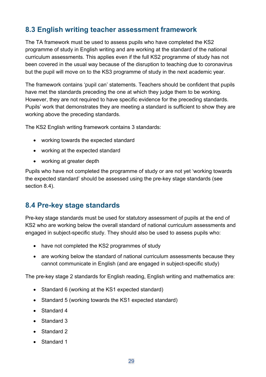# <span id="page-28-0"></span>**8.3 English writing teacher assessment framework**

The TA framework must be used to assess pupils who have completed the KS2 programme of study in English writing and are working at the standard of the national curriculum assessments. This applies even if the full KS2 programme of study has not been covered in the usual way because of the disruption to teaching due to coronavirus but the pupil will move on to the KS3 programme of study in the next academic year.

The framework contains 'pupil can' statements. Teachers should be confident that pupils have met the standards preceding the one at which they judge them to be working. However, they are not required to have specific evidence for the preceding standards. Pupils' work that demonstrates they are meeting a standard is sufficient to show they are working above the preceding standards.

The KS2 English writing framework contains 3 standards:

- working towards the expected standard
- working at the expected standard
- working at greater depth

Pupils who have not completed the programme of study or are not yet 'working towards the expected standard' should be assessed using the pre-key stage standards (see section 8.4).

## <span id="page-28-1"></span>**8.4 Pre-key stage standards**

Pre-key stage standards must be used for statutory assessment of pupils at the end of KS2 who are working below the overall standard of national curriculum assessments and engaged in subject-specific study. They should also be used to assess pupils who:

- have not completed the KS2 programmes of study
- are working below the standard of national curriculum assessments because they cannot communicate in English (and are engaged in subject-specific study)

The pre-key stage 2 standards for English reading, English writing and mathematics are:

- Standard 6 (working at the KS1 expected standard)
- Standard 5 (working towards the KS1 expected standard)
- Standard 4
- Standard 3
- Standard 2
- Standard 1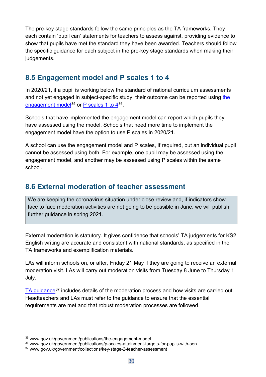The pre-key stage standards follow the same principles as the TA frameworks. They each contain 'pupil can' statements for teachers to assess against, providing evidence to show that pupils have met the standard they have been awarded. Teachers should follow the specific guidance for each subject in the pre-key stage standards when making their judgements.

## <span id="page-29-0"></span>**8.5 Engagement model and P scales 1 to 4**

In 2020/21, if a pupil is working below the standard of national curriculum assessments and not yet engaged in subject-specific study, their outcome can be reported using [the](https://www.gov.uk/government/publications/the-engagement-model)  [engagement model](https://www.gov.uk/government/publications/the-engagement-model)<sup>[35](#page-29-2)</sup> or P scales 1 to  $4^{36}$  $4^{36}$  $4^{36}$ .

Schools that have implemented the engagement model can report which pupils they have assessed using the model. Schools that need more time to implement the engagement model have the option to use P scales in 2020/21.

A school can use the engagement model and P scales, if required, but an individual pupil cannot be assessed using both. For example, one pupil may be assessed using the engagement model, and another may be assessed using P scales within the same school.

## <span id="page-29-1"></span>**8.6 External moderation of teacher assessment**

We are keeping the coronavirus situation under close review and, if indicators show face to face moderation activities are not going to be possible in June, we will publish further guidance in spring 2021.

External moderation is statutory. It gives confidence that schools' TA judgements for KS2 English writing are accurate and consistent with national standards, as specified in the TA frameworks and exemplification materials.

LAs will inform schools on, or after, Friday 21 May if they are going to receive an external moderation visit. LAs will carry out moderation visits from Tuesday 8 June to Thursday 1 July.

[TA guidance](http://www.gov.uk/government/collections/key-stage-2-teacher-assessment)<sup>[37](#page-29-4)</sup> includes details of the moderation process and how visits are carried out. Headteachers and LAs must refer to the guidance to ensure that the essential requirements are met and that robust moderation processes are followed.

<span id="page-29-2"></span><sup>35</sup> www.gov.uk/government/publications/the-engagement-model

<span id="page-29-3"></span><sup>36</sup> www.gov.uk/government/publications/p-scales-attainment-targets-for-pupils-with-sen

<span id="page-29-4"></span><sup>37</sup> www.gov.uk/government/collections/key-stage-2-teacher-assessment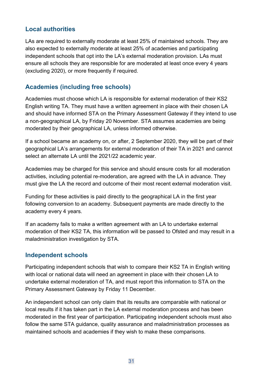#### **Local authorities**

LAs are required to externally moderate at least 25% of maintained schools. They are also expected to externally moderate at least 25% of academies and participating independent schools that opt into the LA's external moderation provision. LAs must ensure all schools they are responsible for are moderated at least once every 4 years (excluding 2020), or more frequently if required.

#### **Academies (including free schools)**

Academies must choose which LA is responsible for external moderation of their KS2 English writing TA. They must have a written agreement in place with their chosen LA and should have informed STA on the Primary Assessment Gateway if they intend to use a non-geographical LA, by Friday 20 November. STA assumes academies are being moderated by their geographical LA, unless informed otherwise.

If a school became an academy on, or after, 2 September 2020, they will be part of their geographical LA's arrangements for external moderation of their TA in 2021 and cannot select an alternate LA until the 2021/22 academic year.

Academies may be charged for this service and should ensure costs for all moderation activities, including potential re-moderation, are agreed with the LA in advance. They must give the LA the record and outcome of their most recent external moderation visit.

Funding for these activities is paid directly to the geographical LA in the first year following conversion to an academy. Subsequent payments are made directly to the academy every 4 years.

If an academy fails to make a written agreement with an LA to undertake external moderation of their KS2 TA, this information will be passed to Ofsted and may result in a maladministration investigation by STA.

#### **Independent schools**

Participating independent schools that wish to compare their KS2 TA in English writing with local or national data will need an agreement in place with their chosen LA to undertake external moderation of TA, and must report this information to STA on the Primary Assessment Gateway by Friday 11 December.

An independent school can only claim that its results are comparable with national or local results if it has taken part in the LA external moderation process and has been moderated in the first year of participation. Participating independent schools must also follow the same STA guidance, quality assurance and maladministration processes as maintained schools and academies if they wish to make these comparisons.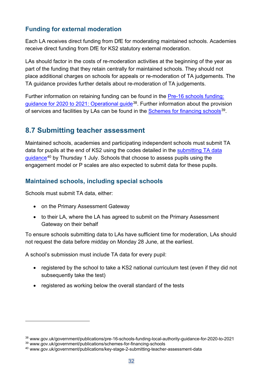#### **Funding for external moderation**

Each LA receives direct funding from DfE for moderating maintained schools. Academies receive direct funding from DfE for KS2 statutory external moderation.

LAs should factor in the costs of re-moderation activities at the beginning of the year as part of the funding that they retain centrally for maintained schools. They should not place additional charges on schools for appeals or re-moderation of TA judgements. The TA guidance provides further details about re-moderation of TA judgements.

Further information on retaining funding can be found in the [Pre-16 schools funding:](https://www.gov.uk/government/publications/pre-16-schools-funding-local-authority-guidance-for-2020-to-2021)  [guidance for 2020 to 2021: Operational guide](https://www.gov.uk/government/publications/pre-16-schools-funding-local-authority-guidance-for-2020-to-2021)[38.](#page-31-1) Further information about the provision of services and facilities by LAs can be found in the [Schemes for financing schools](https://www.gov.uk/government/publications/schemes-for-financing-schools)<sup>[39](#page-31-2)</sup>.

## <span id="page-31-0"></span>**8.7 Submitting teacher assessment**

Maintained schools, academies and participating independent schools must submit TA data for pupils at the end of KS2 using the codes detailed in the [submitting TA data](https://www.gov.uk/government/publications/key-stage-2-submitting-teacher-assessment-data)  [guidance](https://www.gov.uk/government/publications/key-stage-2-submitting-teacher-assessment-data)[40](#page-31-3) by Thursday 1 July. Schools that choose to assess pupils using the engagement model or P scales are also expected to submit data for these pupils.

#### **Maintained schools, including special schools**

Schools must submit TA data, either:

- on the Primary Assessment Gateway
- to their LA, where the LA has agreed to submit on the Primary Assessment Gateway on their behalf

To ensure schools submitting data to LAs have sufficient time for moderation, LAs should not request the data before midday on Monday 28 June, at the earliest.

A school's submission must include TA data for every pupil:

- registered by the school to take a KS2 national curriculum test (even if they did not subsequently take the test)
- registered as working below the overall standard of the tests

<span id="page-31-1"></span><sup>38</sup> www.gov.uk/government/publications/pre-16-schools-funding-local-authority-guidance-for-2020-to-2021 <sup>39</sup> www.gov.uk/government/publications/schemes-for-financing-schools

<span id="page-31-3"></span><span id="page-31-2"></span><sup>40</sup> www.gov.uk/government/publications/key-stage-2-submitting-teacher-assessment-data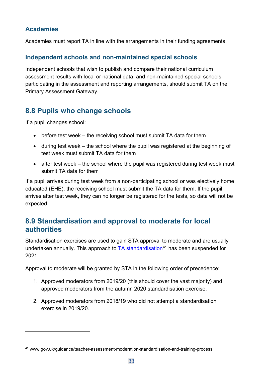#### **Academies**

Academies must report TA in line with the arrangements in their funding agreements.

#### **Independent schools and non-maintained special schools**

Independent schools that wish to publish and compare their national curriculum assessment results with local or national data, and non-maintained special schools participating in the assessment and reporting arrangements, should submit TA on the Primary Assessment Gateway.

# <span id="page-32-0"></span>**8.8 Pupils who change schools**

If a pupil changes school:

- before test week the receiving school must submit TA data for them
- during test week the school where the pupil was registered at the beginning of test week must submit TA data for them
- after test week the school where the pupil was registered during test week must submit TA data for them

If a pupil arrives during test week from a non-participating school or was electively home educated (EHE), the receiving school must submit the TA data for them. If the pupil arrives after test week, they can no longer be registered for the tests, so data will not be expected.

## <span id="page-32-1"></span>**8.9 Standardisation and approval to moderate for local authorities**

Standardisation exercises are used to gain STA approval to moderate and are usually undertaken annually. This approach to  $TA$  standardisation<sup>[41](#page-32-2)</sup> has been suspended for 2021.

Approval to moderate will be granted by STA in the following order of precedence:

- 1. Approved moderators from 2019/20 (this should cover the vast majority) and approved moderators from the autumn 2020 standardisation exercise.
- 2. Approved moderators from 2018/19 who did not attempt a standardisation exercise in 2019/20.

<span id="page-32-2"></span><sup>41</sup> www.gov.uk/guidance/teacher-assessment-moderation-standardisation-and-training-process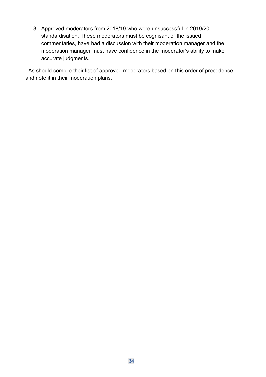3. Approved moderators from 2018/19 who were unsuccessful in 2019/20 standardisation. These moderators must be cognisant of the issued commentaries, have had a discussion with their moderation manager and the moderation manager must have confidence in the moderator's ability to make accurate judgments.

LAs should compile their list of approved moderators based on this order of precedence and note it in their moderation plans.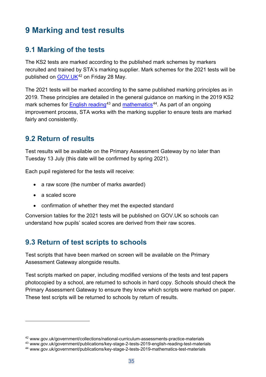# <span id="page-34-0"></span>**9 Marking and test results**

## <span id="page-34-1"></span>**9.1 Marking of the tests**

The KS2 tests are marked according to the published mark schemes by markers recruited and trained by STA's marking supplier. Mark schemes for the 2021 tests will be published on GOV. UK<sup>[42](#page-34-4)</sup> on Friday 28 May.

The 2021 tests will be marked according to the same published marking principles as in 2019. These principles are detailed in the general guidance on marking in the 2019 KS2 mark schemes for [English reading](https://www.gov.uk/government/publications/key-stage-2-tests-2019-english-reading-test-materials)<sup>[43](#page-34-5)</sup> and [mathematics](https://www.gov.uk/government/publications/key-stage-2-tests-2019-mathematics-test-materials)<sup>44</sup>. As part of an ongoing improvement process, STA works with the marking supplier to ensure tests are marked fairly and consistently.

#### <span id="page-34-2"></span>**9.2 Return of results**

Test results will be available on the Primary Assessment Gateway by no later than Tuesday 13 July (this date will be confirmed by spring 2021).

Each pupil registered for the tests will receive:

- a raw score (the number of marks awarded)
- a scaled score
- confirmation of whether they met the expected standard

Conversion tables for the 2021 tests will be published on GOV.UK so schools can understand how pupils' scaled scores are derived from their raw scores.

## <span id="page-34-3"></span>**9.3 Return of test scripts to schools**

Test scripts that have been marked on screen will be available on the Primary Assessment Gateway alongside results.

Test scripts marked on paper, including modified versions of the tests and test papers photocopied by a school, are returned to schools in hard copy. Schools should check the Primary Assessment Gateway to ensure they know which scripts were marked on paper. These test scripts will be returned to schools by return of results.

<span id="page-34-4"></span><sup>42</sup> www.gov.uk/government/collections/national-curriculum-assessments-practice-materials

<span id="page-34-5"></span><sup>43</sup> www.gov.uk/government/publications/key-stage-2-tests-2019-english-reading-test-materials

<span id="page-34-6"></span><sup>44</sup> www.gov.uk/government/publications/key-stage-2-tests-2019-mathematics-test-materials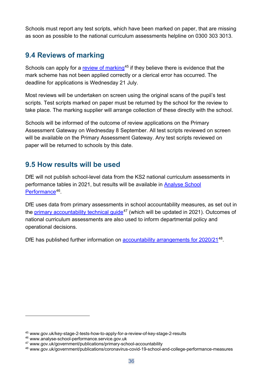Schools must report any test scripts, which have been marked on paper, that are missing as soon as possible to the national curriculum assessments helpline on 0300 303 3013.

# <span id="page-35-0"></span>**9.4 Reviews of marking**

Schools can apply for a [review of marking](https://www.gov.uk/key-stage-2-tests-how-to-apply-for-a-review-of-key-stage-2-results)<sup>[45](#page-35-2)</sup> if they believe there is evidence that the mark scheme has not been applied correctly or a clerical error has occurred. The deadline for applications is Wednesday 21 July.

Most reviews will be undertaken on screen using the original scans of the pupil's test scripts. Test scripts marked on paper must be returned by the school for the review to take place. The marking supplier will arrange collection of these directly with the school.

Schools will be informed of the outcome of review applications on the Primary Assessment Gateway on Wednesday 8 September. All test scripts reviewed on screen will be available on the Primary Assessment Gateway. Any test scripts reviewed on paper will be returned to schools by this date.

## <span id="page-35-1"></span>**9.5 How results will be used**

DfE will not publish school-level data from the KS2 national curriculum assessments in performance tables in 2021, but results will be available in [Analyse School](http://www.analyse-school-performance.service.gov.uk/)  [Performance](http://www.analyse-school-performance.service.gov.uk/)<sup>46</sup>.

DfE uses data from primary assessments in school accountability measures, as set out in the primary accountability technical quide<sup>[47](#page-35-4)</sup> (which will be updated in 2021). Outcomes of national curriculum assessments are also used to inform departmental policy and operational decisions.

DfE has published further information on [accountability arrangements for 2020/21](https://www.gov.uk/government/publications/coronavirus-covid-19-school-and-college-performance-measures)<sup>[48](#page-35-5)</sup>.

<span id="page-35-2"></span><sup>45</sup> www.gov.uk/key-stage-2-tests-how-to-apply-for-a-review-of-key-stage-2-results

<span id="page-35-3"></span><sup>46</sup> www.analyse-school-performance.service.gov.uk

<span id="page-35-4"></span><sup>47</sup> www.gov.uk/government/publications/primary-school-accountability

<span id="page-35-5"></span><sup>48</sup> www.gov.uk/government/publications/coronavirus-covid-19-school-and-college-performance-measures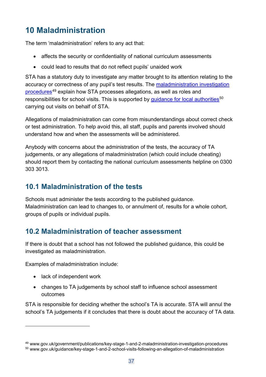# <span id="page-36-0"></span>**10 Maladministration**

The term 'maladministration' refers to any act that:

- affects the security or confidentiality of national curriculum assessments
- could lead to results that do not reflect pupils' unaided work

STA has a statutory duty to investigate any matter brought to its attention relating to the accuracy or correctness of any pupil's test results. The maladministration investigation [procedures](https://www.gov.uk/government/publications/key-stage-1-and-2-maladministration-investigation-procedures)[49](#page-36-3) explain how STA processes allegations, as well as roles and responsibilities for school visits. This is supported by quidance for local authorities<sup>[50](#page-36-4)</sup> carrying out visits on behalf of STA.

Allegations of maladministration can come from misunderstandings about correct check or test administration. To help avoid this, all staff, pupils and parents involved should understand how and when the assessments will be administered.

Anybody with concerns about the administration of the tests, the accuracy of TA judgements, or any allegations of maladministration (which could include cheating) should report them by contacting the national curriculum assessments helpline on 0300 303 3013.

## <span id="page-36-1"></span>**10.1 Maladministration of the tests**

Schools must administer the tests according to the published guidance. Maladministration can lead to changes to, or annulment of, results for a whole cohort, groups of pupils or individual pupils.

# <span id="page-36-2"></span>**10.2 Maladministration of teacher assessment**

If there is doubt that a school has not followed the published guidance, this could be investigated as maladministration.

Examples of maladministration include:

- lack of independent work
- changes to TA judgements by school staff to influence school assessment outcomes

STA is responsible for deciding whether the school's TA is accurate. STA will annul the school's TA judgements if it concludes that there is doubt about the accuracy of TA data.

<span id="page-36-3"></span><sup>49</sup> www.gov.uk/government/publications/key-stage-1-and-2-maladministration-investigation-procedures

<span id="page-36-4"></span><sup>50</sup> www.gov.uk/guidance/key-stage-1-and-2-school-visits-following-an-allegation-of-maladministration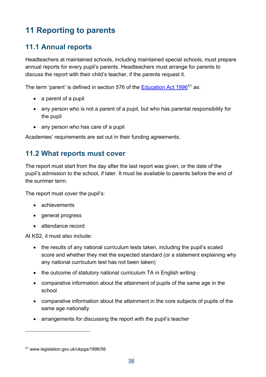# <span id="page-37-0"></span>**11 Reporting to parents**

# <span id="page-37-1"></span>**11.1 Annual reports**

Headteachers at maintained schools, including maintained special schools, must prepare annual reports for every pupil's parents. Headteachers must arrange for parents to discuss the report with their child's teacher, if the parents request it.

The term 'parent' is defined in section 576 of the **Education Act 1996<sup>[51](#page-37-3)</sup>** as:

- a parent of a pupil
- any person who is not a parent of a pupil, but who has parental responsibility for the pupil
- any person who has care of a pupil

Academies' requirements are set out in their funding agreements.

## <span id="page-37-2"></span>**11.2 What reports must cover**

The report must start from the day after the last report was given, or the date of the pupil's admission to the school, if later. It must be available to parents before the end of the summer term.

The report must cover the pupil's:

- achievements
- general progress
- attendance record

At KS2, it must also include:

- the results of any national curriculum tests taken, including the pupil's scaled score and whether they met the expected standard (or a statement explaining why any national curriculum test has not been taken)
- the outcome of statutory national curriculum TA in English writing
- comparative information about the attainment of pupils of the same age in the school
- comparative information about the attainment in the core subjects of pupils of the same age nationally
- arrangements for discussing the report with the pupil's teacher

<span id="page-37-3"></span><sup>51</sup> www.legislation.gov.uk/ukpga/1996/56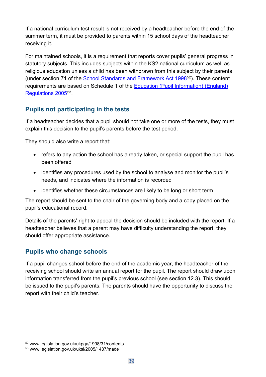If a national curriculum test result is not received by a headteacher before the end of the summer term, it must be provided to parents within 15 school days of the headteacher receiving it.

For maintained schools, it is a requirement that reports cover pupils' general progress in statutory subjects. This includes subjects within the KS2 national curriculum as well as religious education unless a child has been withdrawn from this subject by their parents (under section 71 of the [School Standards and Framework Act 1998](http://www.legislation.gov.uk/ukpga/1998/31/contents)[52\)](#page-38-0). These content requirements are based on Schedule 1 of the [Education \(Pupil Information\) \(England\)](http://www.legislation.gov.uk/uksi/2005/1437/made)  [Regulations 2005](http://www.legislation.gov.uk/uksi/2005/1437/made)<sup>[53](#page-38-1)</sup>.

#### **Pupils not participating in the tests**

If a headteacher decides that a pupil should not take one or more of the tests, they must explain this decision to the pupil's parents before the test period.

They should also write a report that:

- refers to any action the school has already taken, or special support the pupil has been offered
- identifies any procedures used by the school to analyse and monitor the pupil's needs, and indicates where the information is recorded
- identifies whether these circumstances are likely to be long or short term

The report should be sent to the chair of the governing body and a copy placed on the pupil's educational record.

Details of the parents' right to appeal the decision should be included with the report. If a headteacher believes that a parent may have difficulty understanding the report, they should offer appropriate assistance.

#### **Pupils who change schools**

If a pupil changes school before the end of the academic year, the headteacher of the receiving school should write an annual report for the pupil. The report should draw upon information transferred from the pupil's previous school (see section 12.3). This should be issued to the pupil's parents. The parents should have the opportunity to discuss the report with their child's teacher.

<span id="page-38-0"></span><sup>52</sup> www.legislation.gov.uk/ukpga/1998/31/contents

<span id="page-38-1"></span><sup>53</sup> www.legislation.gov.uk/uksi/2005/1437/made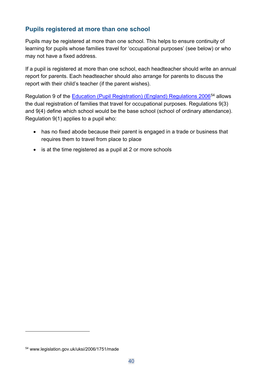#### **Pupils registered at more than one school**

Pupils may be registered at more than one school. This helps to ensure continuity of learning for pupils whose families travel for 'occupational purposes' (see below) or who may not have a fixed address.

If a pupil is registered at more than one school, each headteacher should write an annual report for parents. Each headteacher should also arrange for parents to discuss the report with their child's teacher (if the parent wishes).

Regulation 9 of the [Education \(Pupil Registration\) \(England\) Regulations 2006](http://www.legislation.gov.uk/uksi/2006/1751/made)[54](#page-39-0) allows the dual registration of families that travel for occupational purposes. Regulations 9(3) and 9(4) define which school would be the base school (school of ordinary attendance). Regulation 9(1) applies to a pupil who:

- has no fixed abode because their parent is engaged in a trade or business that requires them to travel from place to place
- is at the time registered as a pupil at 2 or more schools

<span id="page-39-0"></span><sup>54</sup> www.legislation.gov.uk/uksi/2006/1751/made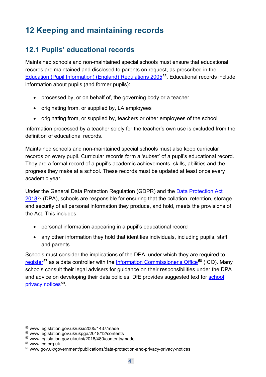# <span id="page-40-0"></span>**12 Keeping and maintaining records**

# <span id="page-40-1"></span>**12.1 Pupils' educational records**

Maintained schools and non-maintained special schools must ensure that educational records are maintained and disclosed to parents on request, as prescribed in the [Education \(Pupil Information\) \(England\) Regulations 2005](http://www.legislation.gov.uk/uksi/2005/1437/made)[55.](#page-40-2) Educational records include information about pupils (and former pupils):

- processed by, or on behalf of, the governing body or a teacher
- originating from, or supplied by, LA employees
- originating from, or supplied by, teachers or other employees of the school

Information processed by a teacher solely for the teacher's own use is excluded from the definition of educational records.

Maintained schools and non-maintained special schools must also keep curricular records on every pupil. Curricular records form a 'subset' of a pupil's educational record. They are a formal record of a pupil's academic achievements, skills, abilities and the progress they make at a school. These records must be updated at least once every academic year.

Under the General Data Protection Regulation (GDPR) and the [Data Protection Act](http://www.legislation.gov.uk/ukpga/2018/12/contents)  [2018](http://www.legislation.gov.uk/ukpga/2018/12/contents)<sup>[56](#page-40-3)</sup> (DPA), schools are responsible for ensuring that the collation, retention, storage and security of all personal information they produce, and hold, meets the provisions of the Act. This includes:

- personal information appearing in a pupil's educational record
- any other information they hold that identifies individuals, including pupils, staff and parents

Schools must consider the implications of the DPA, under which they are required to [register](http://www.legislation.gov.uk/uksi/2018/480/contents/made)<sup>[57](#page-40-4)</sup> as a data controller with the [Information Commissioner's Office](http://ico.org.uk/)<sup>[58](#page-40-5)</sup> (ICO). Many schools consult their legal advisers for guidance on their responsibilities under the DPA and advice on developing their data policies. DfE provides suggested text for school [privacy notices](https://www.gov.uk/government/publications/data-protection-and-privacy-privacy-notices)<sup>[59](#page-40-6)</sup>.

<span id="page-40-2"></span><sup>55</sup> www.legislation.gov.uk/uksi/2005/1437/made

<span id="page-40-3"></span><sup>56</sup> www.legislation.gov.uk/ukpga/2018/12/contents

<span id="page-40-4"></span><sup>57</sup> www.legislation.gov.uk/uksi/2018/480/contents/made

<span id="page-40-5"></span><sup>58</sup> www.ico.org.uk

<span id="page-40-6"></span><sup>59</sup> www.gov.uk/government/publications/data-protection-and-privacy-privacy-notices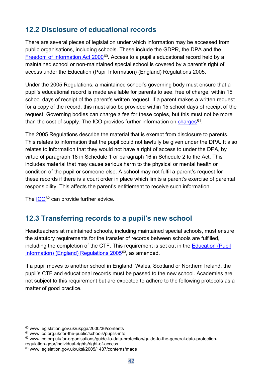# <span id="page-41-0"></span>**12.2 Disclosure of educational records**

There are several pieces of legislation under which information may be accessed from public organisations, including schools. These include the GDPR, the DPA and the [Freedom of Information Act 2000](http://www.legislation.gov.uk/ukpga/2000/36/contents)<sup>60</sup>. Access to a pupil's educational record held by a maintained school or non-maintained special school is covered by a parent's right of access under the Education (Pupil Information) (England) Regulations 2005.

Under the 2005 Regulations, a maintained school's governing body must ensure that a pupil's educational record is made available for parents to see, free of charge, within 15 school days of receipt of the parent's written request. If a parent makes a written request for a copy of the record, this must also be provided within 15 school days of receipt of the request. Governing bodies can charge a fee for these copies, but this must not be more than the cost of supply. The ICO provides further information on [charges](https://ico.org.uk/for-the-public/schools/pupils-info/)<sup>[61](#page-41-3)</sup>.

The 2005 Regulations describe the material that is exempt from disclosure to parents. This relates to information that the pupil could not lawfully be given under the DPA. It also relates to information that they would not have a right of access to under the DPA, by virtue of paragraph 18 in Schedule 1 or paragraph 16 in Schedule 2 to the Act. This includes material that may cause serious harm to the physical or mental health or condition of the pupil or someone else. A school may not fulfil a parent's request for these records if there is a court order in place which limits a parent's exercise of parental responsibility. This affects the parent's entitlement to receive such information.

The [ICO](https://ico.org.uk/for-organisations/guide-to-data-protection/guide-to-the-general-data-protection-regulation-gdpr/individual-rights/right-of-access/)<sup>[62](#page-41-4)</sup> can provide further advice.

# <span id="page-41-1"></span>**12.3 Transferring records to a pupil's new school**

Headteachers at maintained schools, including maintained special schools, must ensure the statutory requirements for the transfer of records between schools are fulfilled, including the completion of the CTF. This requirement is set out in the [Education \(Pupil](http://www.legislation.gov.uk/uksi/2005/1437/contents/made)  [Information\) \(England\) Regulations 2005](http://www.legislation.gov.uk/uksi/2005/1437/contents/made)<sup>[63](#page-41-5)</sup>, as amended.

If a pupil moves to another school in England, Wales, Scotland or Northern Ireland, the pupil's CTF and educational records must be passed to the new school. Academies are not subject to this requirement but are expected to adhere to the following protocols as a matter of good practice.

<span id="page-41-2"></span><sup>60</sup> www.legislation.gov.uk/ukpga/2000/36/contents

<span id="page-41-3"></span><sup>61</sup> www.ico.org.uk/for-the-public/schools/pupils-info

<span id="page-41-4"></span><sup>&</sup>lt;sup>62</sup> www.ico.org.uk/for-organisations/guide-to-data-protection/guide-to-the-general-data-protection-

regulation-gdpr/individual-rights/right-of-access

<span id="page-41-5"></span><sup>63</sup> www.legislation.gov.uk/uksi/2005/1437/contents/made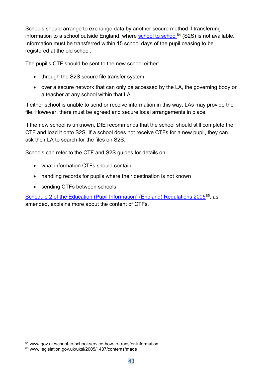Schools should arrange to exchange data by another secure method if transferring information to a school outside England, where [school to school](https://www.gov.uk/school-to-school-service-how-to-transfer-information)<sup>[64](#page-42-0)</sup> (S2S) is not available. Information must be transferred within 15 school days of the pupil ceasing to be registered at the old school.

The pupil's CTF should be sent to the new school either:

- through the S2S secure file transfer system
- over a secure network that can only be accessed by the LA, the governing body or a teacher at any school within that LA

If either school is unable to send or receive information in this way, LAs may provide the file. However, there must be agreed and secure local arrangements in place.

If the new school is unknown, DfE recommends that the school should still complete the CTF and load it onto S2S. If a school does not receive CTFs for a new pupil, they can ask their LA to search for the files on S2S.

Schools can refer to the CTF and S2S guides for details on:

- what information CTFs should contain
- handling records for pupils where their destination is not known
- sending CTFs between schools

[Schedule 2 of the Education \(Pupil Information\) \(England\) Regulations 2005](http://www.legislation.gov.uk/uksi/2005/1437/contents/made)<sup>65</sup>, as amended, explains more about the content of CTFs.

<span id="page-42-0"></span><sup>64</sup> www.gov.uk/school-to-school-service-how-to-transfer-information

<span id="page-42-1"></span><sup>65</sup> www.legislation.gov.uk/uksi/2005/1437/contents/made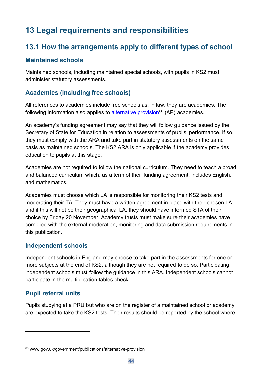# <span id="page-43-0"></span>**13 Legal requirements and responsibilities**

## <span id="page-43-1"></span>**13.1 How the arrangements apply to different types of school**

#### **Maintained schools**

Maintained schools, including maintained special schools, with pupils in KS2 must administer statutory assessments.

#### **Academies (including free schools)**

All references to academies include free schools as, in law, they are academies. The following information also applies to [alternative provision](https://www.gov.uk/government/publications/alternative-provision)<sup>[66](#page-43-2)</sup> (AP) academies.

An academy's funding agreement may say that they will follow guidance issued by the Secretary of State for Education in relation to assessments of pupils' performance. If so, they must comply with the ARA and take part in statutory assessments on the same basis as maintained schools. The KS2 ARA is only applicable if the academy provides education to pupils at this stage.

Academies are not required to follow the national curriculum. They need to teach a broad and balanced curriculum which, as a term of their funding agreement, includes English, and mathematics.

Academies must choose which LA is responsible for monitoring their KS2 tests and moderating their TA. They must have a written agreement in place with their chosen LA, and if this will not be their geographical LA, they should have informed STA of their choice by Friday 20 November. Academy trusts must make sure their academies have complied with the external moderation, monitoring and data submission requirements in this publication.

#### **Independent schools**

Independent schools in England may choose to take part in the assessments for one or more subjects at the end of KS2, although they are not required to do so. Participating independent schools must follow the guidance in this ARA. Independent schools cannot participate in the multiplication tables check.

#### **Pupil referral units**

Pupils studying at a PRU but who are on the register of a maintained school or academy are expected to take the KS2 tests. Their results should be reported by the school where

<span id="page-43-2"></span><sup>66</sup> www.gov.uk/government/publications/alternative-provision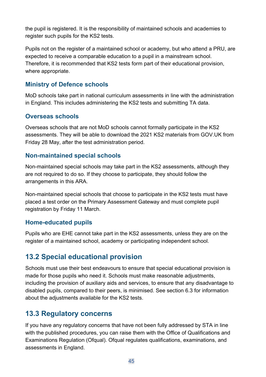the pupil is registered. It is the responsibility of maintained schools and academies to register such pupils for the KS2 tests.

Pupils not on the register of a maintained school or academy, but who attend a PRU, are expected to receive a comparable education to a pupil in a mainstream school. Therefore, it is recommended that KS2 tests form part of their educational provision, where appropriate.

#### **Ministry of Defence schools**

MoD schools take part in national curriculum assessments in line with the administration in England. This includes administering the KS2 tests and submitting TA data.

#### **Overseas schools**

Overseas schools that are not MoD schools cannot formally participate in the KS2 assessments. They will be able to download the 2021 KS2 materials from GOV.UK from Friday 28 May, after the test administration period.

#### **Non-maintained special schools**

Non-maintained special schools may take part in the KS2 assessments, although they are not required to do so. If they choose to participate, they should follow the arrangements in this ARA.

Non-maintained special schools that choose to participate in the KS2 tests must have placed a test order on the Primary Assessment Gateway and must complete pupil registration by Friday 11 March.

#### **Home-educated pupils**

Pupils who are EHE cannot take part in the KS2 assessments, unless they are on the register of a maintained school, academy or participating independent school.

## <span id="page-44-0"></span>**13.2 Special educational provision**

Schools must use their best endeavours to ensure that special educational provision is made for those pupils who need it. Schools must make reasonable adjustments, including the provision of auxiliary aids and services, to ensure that any disadvantage to disabled pupils, compared to their peers, is minimised. See section 6.3 for information about the adjustments available for the KS2 tests.

## <span id="page-44-1"></span>**13.3 Regulatory concerns**

If you have any regulatory concerns that have not been fully addressed by STA in line with the published procedures, you can raise them with the Office of Qualifications and Examinations Regulation (Ofqual). Ofqual regulates qualifications, examinations, and assessments in England.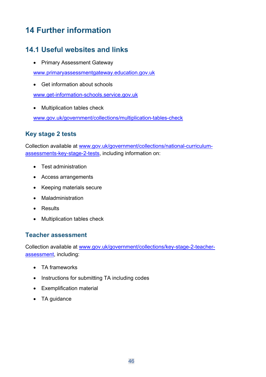# <span id="page-45-0"></span>**14 Further information**

# <span id="page-45-1"></span>**14.1 Useful websites and links**

• Primary Assessment Gateway

[www.primaryassessmentgateway.education.gov.uk](http://www.primaryassessmentgateway.education.gov.uk/)

• Get information about schools

[www.get-information-schools.service.gov.uk](http://www.get-information-schools.service.gov.uk/)

• Multiplication tables check

[www.gov.uk/government/collections/multiplication-tables-check](http://www.gov.uk/government/collections/multiplication-tables-check)

#### **Key stage 2 tests**

Collection available at [www.gov.uk/government/collections/national-curriculum](http://www.gov.uk/government/collections/national-curriculum-assessments-key-stage-2-tests)[assessments-key-stage-2-tests,](http://www.gov.uk/government/collections/national-curriculum-assessments-key-stage-2-tests) including information on:

- Test administration
- Access arrangements
- Keeping materials secure
- Maladministration
- Results
- Multiplication tables check

#### **Teacher assessment**

Collection available at [www.gov.uk/government/collections/key-stage-2-teacher](http://www.gov.uk/government/collections/key-stage-2-teacher-assessment)[assessment,](http://www.gov.uk/government/collections/key-stage-2-teacher-assessment) including:

- TA frameworks
- Instructions for submitting TA including codes
- Exemplification material
- TA guidance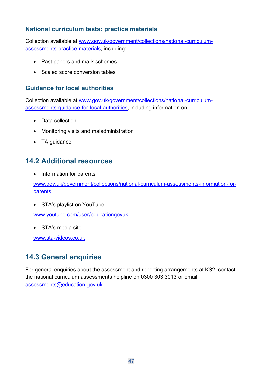#### **National curriculum tests: practice materials**

Collection available at [www.gov.uk/government/collections/national-curriculum](http://www.gov.uk/government/collections/national-curriculum-assessments-practice-materials)[assessments-practice-materials,](http://www.gov.uk/government/collections/national-curriculum-assessments-practice-materials) including:

- Past papers and mark schemes
- Scaled score conversion tables

#### **Guidance for local authorities**

Collection available at [www.gov.uk/government/collections/national-curriculum](http://www.gov.uk/government/collections/national-curriculum-assessments-guidance-for-local-authorities)[assessments-guidance-for-local-authorities,](http://www.gov.uk/government/collections/national-curriculum-assessments-guidance-for-local-authorities) including information on:

- Data collection
- Monitoring visits and maladministration
- TA guidance

#### <span id="page-46-0"></span>**14.2 Additional resources**

• Information for parents

[www.gov.uk/government/collections/national-curriculum-assessments-information-for](http://www.gov.uk/government/collections/national-curriculum-assessments-information-for-parents)[parents](http://www.gov.uk/government/collections/national-curriculum-assessments-information-for-parents)

• STA's playlist on YouTube

[www.youtube.com/user/educationgovuk](http://www.youtube.com/user/educationgovuk)

• STA's media site

[www.sta-videos.co.uk](http://www.sta-videos.co.uk/)

## <span id="page-46-1"></span>**14.3 General enquiries**

For general enquiries about the assessment and reporting arrangements at KS2, contact the national curriculum assessments helpline on 0300 303 3013 or email [assessments@education.gov.uk.](mailto:assessments@education.gov.uk)